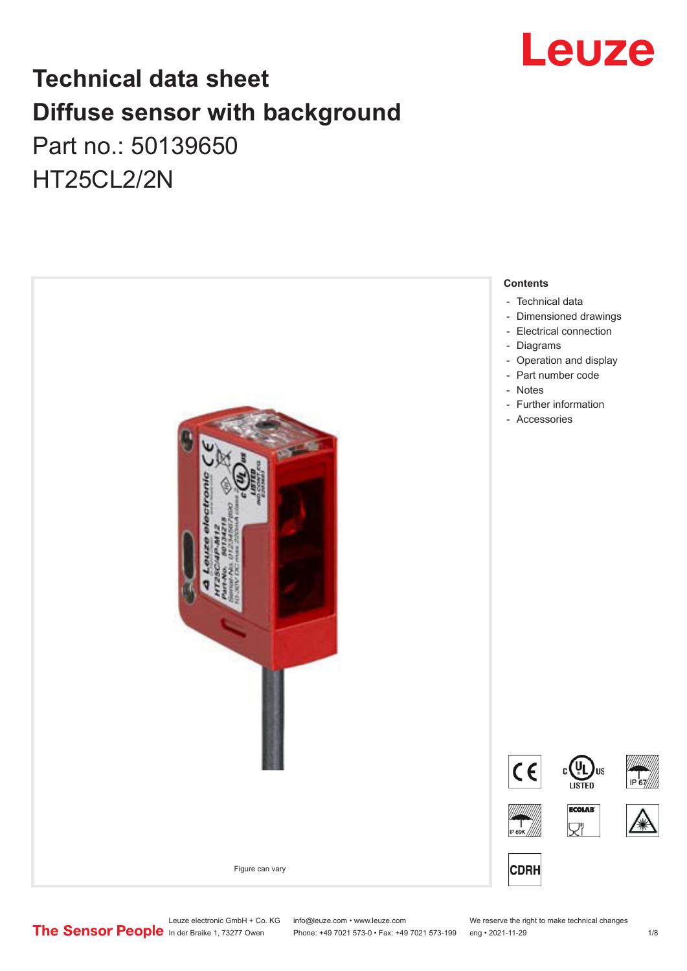

## **Technical data sheet Diffuse sensor with background**  Part no.: 50139650 HT25CL2/2N



Leuze electronic GmbH + Co. KG info@leuze.com • www.leuze.com We reserve the right to make technical changes<br>
The Sensor People in der Braike 1, 73277 Owen Phone: +49 7021 573-0 • Fax: +49 7021 573-199 eng • 2021-11-29

Phone: +49 7021 573-0 • Fax: +49 7021 573-199 eng • 2021-11-29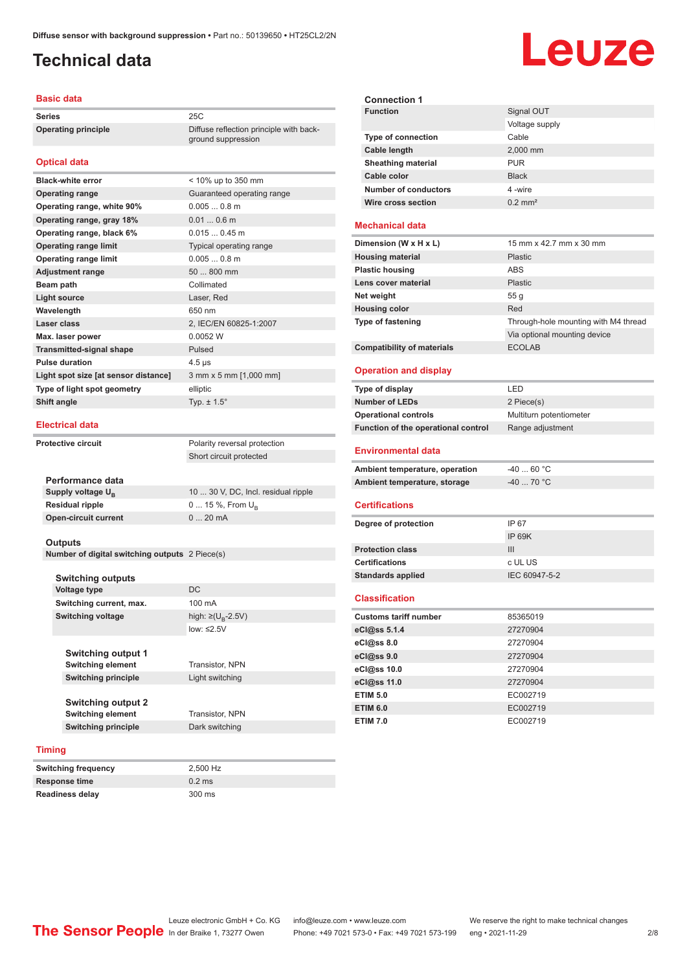ground suppression

## <span id="page-1-0"></span>**Technical data**

### **Basic data**

**Series** 25C **Operating principle** Diffuse reflection principle with back-

### **Optical data**

| <b>Black-white error</b>             | < 10% up to 350 mm         |
|--------------------------------------|----------------------------|
| <b>Operating range</b>               | Guaranteed operating range |
| Operating range, white 90%           | $0.0050.8$ m               |
| Operating range, gray 18%            | $0.010.6$ m                |
| Operating range, black 6%            | $0.0150.45$ m              |
| <b>Operating range limit</b>         | Typical operating range    |
| <b>Operating range limit</b>         | $0.0050.8$ m               |
| <b>Adjustment range</b>              | 50  800 mm                 |
| Beam path                            | Collimated                 |
| <b>Light source</b>                  | Laser, Red                 |
| Wavelength                           | 650 nm                     |
| Laser class                          | 2, IEC/EN 60825-1:2007     |
| Max. laser power                     | 0.0052 W                   |
| <b>Transmitted-signal shape</b>      | Pulsed                     |
| <b>Pulse duration</b>                | $4.5 \,\mathrm{\mu s}$     |
| Light spot size [at sensor distance] | 3 mm x 5 mm [1,000 mm]     |
| Type of light spot geometry          | elliptic                   |
| Shift angle                          | Typ. $\pm$ 1.5 $^{\circ}$  |
|                                      |                            |

### **Electrical data**

**Protective circuit** Polarity reversal protection Short circuit protected

| Performance data              |                                     |
|-------------------------------|-------------------------------------|
| Supply voltage U <sub>p</sub> | 10  30 V, DC, Incl. residual ripple |
| <b>Residual ripple</b>        | $0 15 \%$ , From $U_{p}$            |
| <b>Open-circuit current</b>   | $020$ mA                            |
|                               |                                     |

#### **Outputs**

**Number of digital switching outputs** 2 Piece(s)

#### **Switching outputs**

|                          | Voltage type               | DC                      |
|--------------------------|----------------------------|-------------------------|
|                          | Switching current, max.    | 100 mA                  |
| <b>Switching voltage</b> |                            | high: ≥( $U_p - 2.5V$ ) |
|                          |                            | $low: \leq 2.5V$        |
|                          |                            |                         |
|                          | <b>Switching output 1</b>  |                         |
|                          | <b>Switching element</b>   | Transistor, NPN         |
|                          | <b>Switching principle</b> | Light switching         |
|                          |                            |                         |
|                          | <b>Switching output 2</b>  |                         |
|                          | <b>Switching element</b>   | <b>Transistor, NPN</b>  |
|                          | <b>Switching principle</b> | Dark switching          |
| ta an                    |                            |                         |
|                          |                            |                         |

### **Timing**

| Switching frequency | 2.500 Hz |
|---------------------|----------|
| Response time       | $0.2$ ms |
| Readiness delay     | 300 ms   |

| <b>Connection 1</b>       |                       |
|---------------------------|-----------------------|
| <b>Function</b>           | Signal OUT            |
|                           | Voltage supply        |
| <b>Type of connection</b> | Cable                 |
| Cable length              | 2,000 mm              |
| <b>Sheathing material</b> | <b>PUR</b>            |
| Cable color               | <b>Black</b>          |
| Number of conductors      | 4-wire                |
| Wire cross section        | $0.2$ mm <sup>2</sup> |
|                           |                       |

### **Mechanical data**

| Dimension (W x H x L)             | 15 mm x 42.7 mm x 30 mm              |
|-----------------------------------|--------------------------------------|
| <b>Housing material</b>           | Plastic                              |
| <b>Plastic housing</b>            | ABS                                  |
| Lens cover material               | Plastic                              |
| Net weight                        | 55q                                  |
| <b>Housing color</b>              | Red                                  |
| <b>Type of fastening</b>          | Through-hole mounting with M4 thread |
|                                   | Via optional mounting device         |
| <b>Compatibility of materials</b> | <b>ECOLAB</b>                        |

### **Operation and display**

| Type of display                          | LED                     |
|------------------------------------------|-------------------------|
| <b>Number of LEDs</b>                    | 2 Piece(s)              |
| <b>Operational controls</b>              | Multiturn potentiometer |
| Function of the operational control      | Range adjustment        |
| <b>Environmental data</b>                |                         |
| Ambient temperature, operation           | $-4060 °C$              |
| Ambient temperature, storage             | $-40$ 70 °C             |
| <b>Certifications</b>                    |                         |
| Degree of protection                     | IP 67                   |
|                                          | IP 69K                  |
| <b>Protection class</b>                  | III                     |
| <b>Certifications</b>                    | c UL US                 |
| <b>Standards applied</b>                 | IEC 60947-5-2           |
| $\mathbf{r}$ and the set of $\mathbf{r}$ |                         |

### **Classification**

| <b>Customs tariff number</b> | 85365019 |
|------------------------------|----------|
| eCl@ss 5.1.4                 | 27270904 |
| eCl@ss 8.0                   | 27270904 |
| eCl@ss 9.0                   | 27270904 |
| eCl@ss 10.0                  | 27270904 |
| eCl@ss 11.0                  | 27270904 |
| <b>ETIM 5.0</b>              | EC002719 |
| <b>ETIM 6.0</b>              | EC002719 |
| <b>ETIM 7.0</b>              | EC002719 |

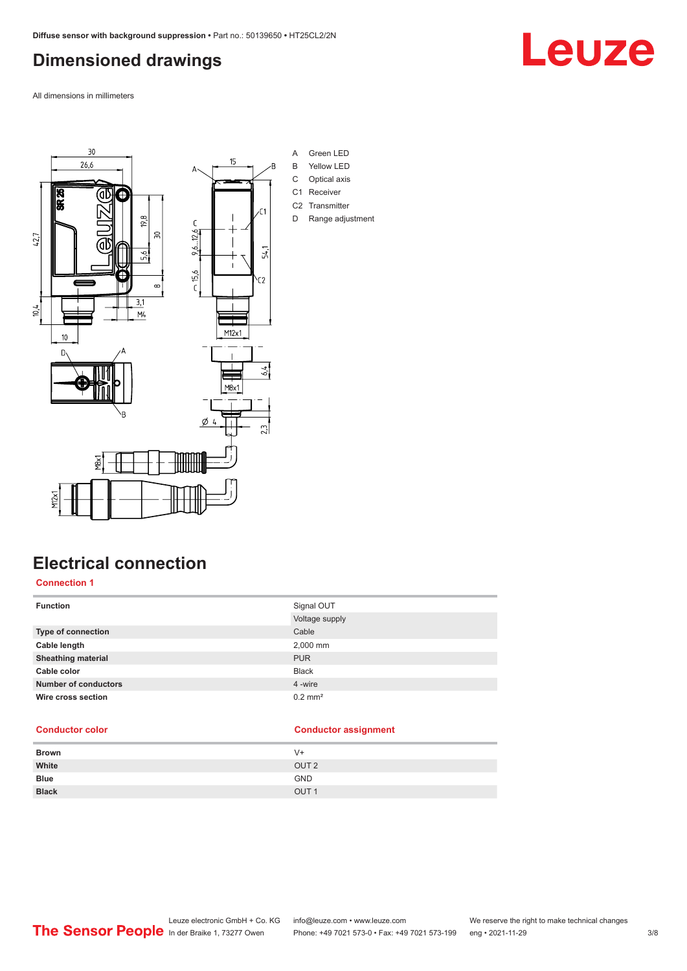## <span id="page-2-0"></span>**Dimensioned drawings**

All dimensions in millimeters



## **Electrical connection**

### **Connection 1**

| <b>Function</b>             | Signal OUT            |
|-----------------------------|-----------------------|
|                             | Voltage supply        |
| <b>Type of connection</b>   | Cable                 |
| Cable length                | 2,000 mm              |
| <b>Sheathing material</b>   | <b>PUR</b>            |
| Cable color                 | <b>Black</b>          |
| <b>Number of conductors</b> | 4 -wire               |
| Wire cross section          | $0.2$ mm <sup>2</sup> |
|                             |                       |

### **Conductor color Conductor assignment**

| <b>Brown</b> | V+               |
|--------------|------------------|
| White        | OUT <sub>2</sub> |
| <b>Blue</b>  | <b>GND</b>       |
| <b>Black</b> | OUT <sub>1</sub> |
|              |                  |

Leuze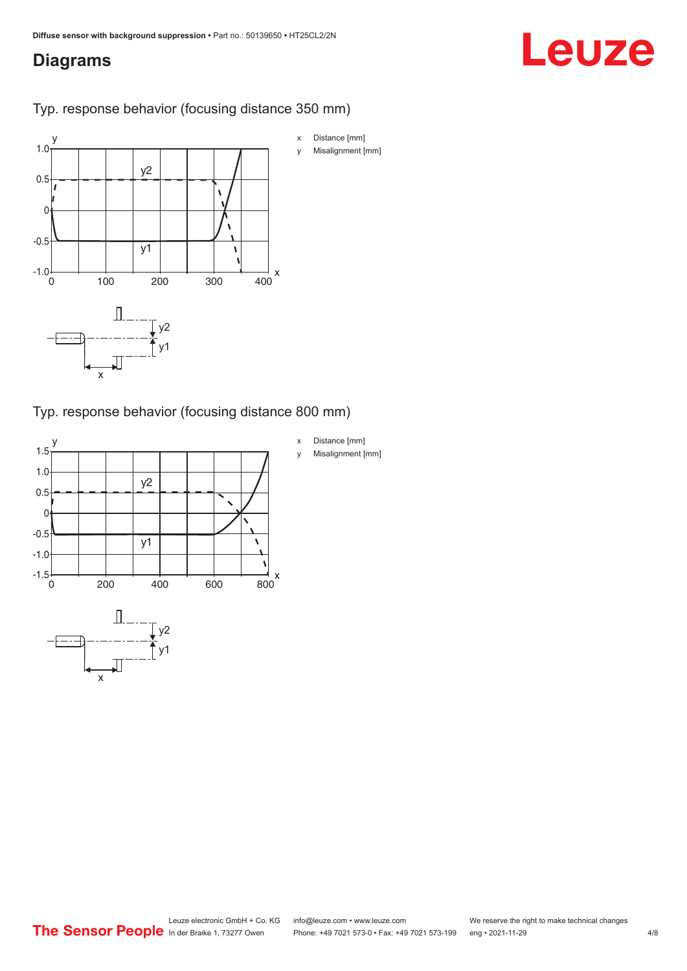## <span id="page-3-0"></span>**Diagrams**

# Leuze

Typ. response behavior (focusing distance 350 mm)



Typ. response behavior (focusing distance 800 mm)

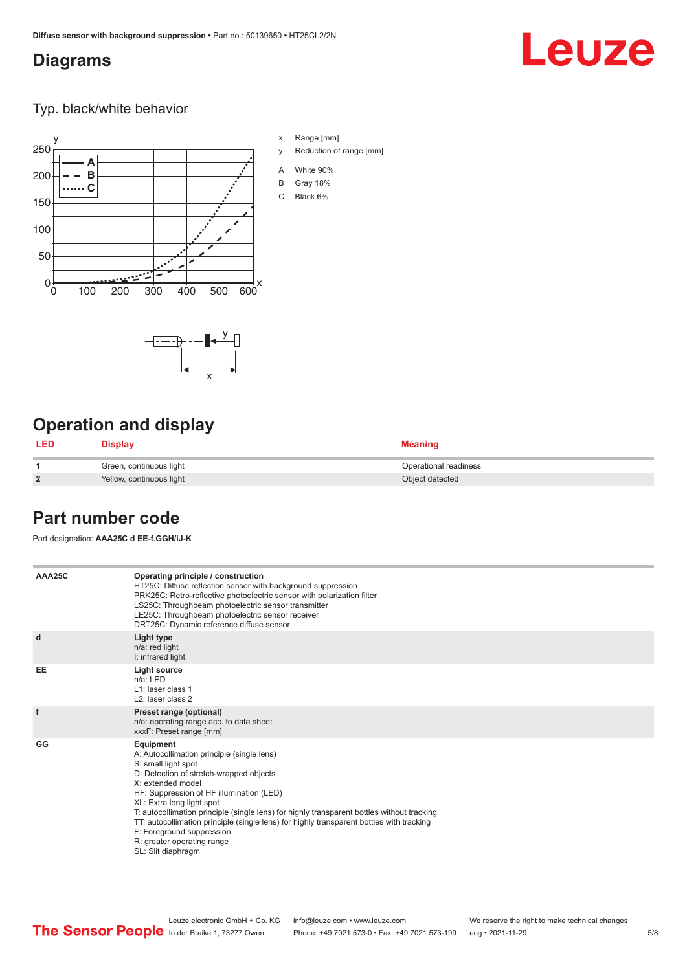## <span id="page-4-0"></span>**Diagrams**

## Leuze

Typ. black/white behavior



x

 $-\overline{...}$   $-\overline{...}$   $-\overline{...}$ 

x Range [mm]

- y Reduction of range [mm]
- A White 90%
- B Gray 18%
- C Black 6%



| LED            | <b>Display</b>           | <b>Meaning</b>        |
|----------------|--------------------------|-----------------------|
|                | Green, continuous light  | Operational readiness |
| $\overline{2}$ | Yellow, continuous light | Object detected       |

## **Part number code**

Part designation: **AAA25C d EE-f.GGH/iJ-K**

| AAA25C | Operating principle / construction<br>HT25C: Diffuse reflection sensor with background suppression<br>PRK25C: Retro-reflective photoelectric sensor with polarization filter<br>LS25C: Throughbeam photoelectric sensor transmitter<br>LE25C: Throughbeam photoelectric sensor receiver<br>DRT25C: Dynamic reference diffuse sensor                                                                                                                                                                |
|--------|----------------------------------------------------------------------------------------------------------------------------------------------------------------------------------------------------------------------------------------------------------------------------------------------------------------------------------------------------------------------------------------------------------------------------------------------------------------------------------------------------|
| d      | Light type<br>n/a: red light<br>I: infrared light                                                                                                                                                                                                                                                                                                                                                                                                                                                  |
| EE     | Light source<br>$n/a$ : LED<br>L1: laser class 1<br>$L2$ : laser class 2                                                                                                                                                                                                                                                                                                                                                                                                                           |
| f      | Preset range (optional)<br>n/a: operating range acc. to data sheet<br>xxxF: Preset range [mm]                                                                                                                                                                                                                                                                                                                                                                                                      |
| GG     | Equipment<br>A: Autocollimation principle (single lens)<br>S: small light spot<br>D: Detection of stretch-wrapped objects<br>X: extended model<br>HF: Suppression of HF illumination (LED)<br>XL: Extra long light spot<br>T: autocollimation principle (single lens) for highly transparent bottles without tracking<br>TT: autocollimation principle (single lens) for highly transparent bottles with tracking<br>F: Foreground suppression<br>R: greater operating range<br>SL: Slit diaphragm |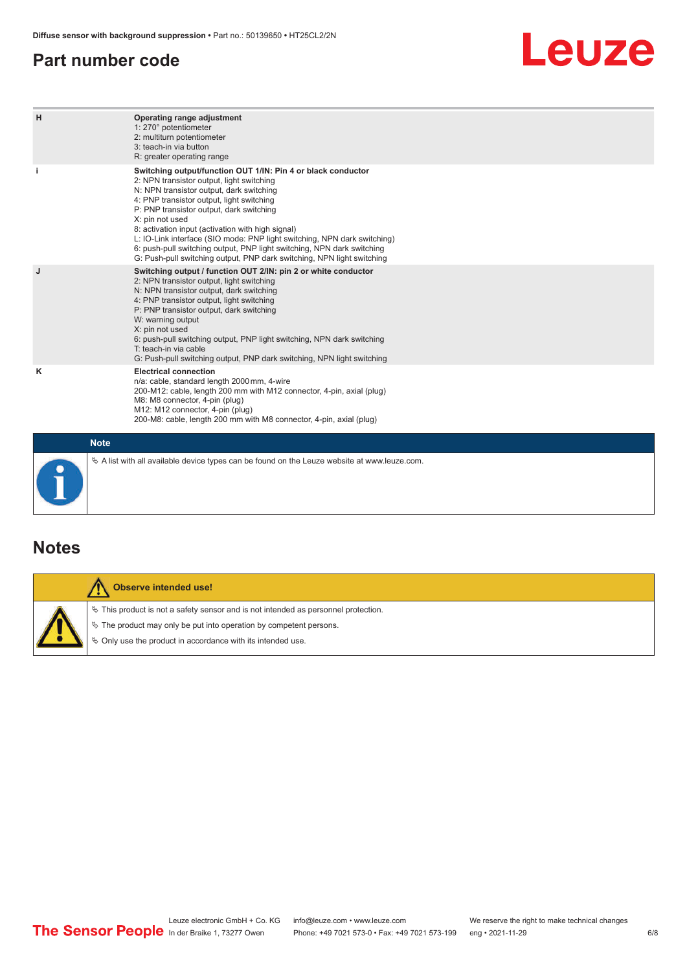## <span id="page-5-0"></span>**Part number code**

## Leuze

| H           | Operating range adjustment<br>1: 270° potentiometer<br>2: multiturn potentiometer<br>3: teach-in via button<br>R: greater operating range                                                                                                                                                                                                                                                                                                                                                                                                              |
|-------------|--------------------------------------------------------------------------------------------------------------------------------------------------------------------------------------------------------------------------------------------------------------------------------------------------------------------------------------------------------------------------------------------------------------------------------------------------------------------------------------------------------------------------------------------------------|
|             | Switching output/function OUT 1/IN: Pin 4 or black conductor<br>2: NPN transistor output, light switching<br>N: NPN transistor output, dark switching<br>4: PNP transistor output, light switching<br>P: PNP transistor output, dark switching<br>X: pin not used<br>8: activation input (activation with high signal)<br>L: IO-Link interface (SIO mode: PNP light switching, NPN dark switching)<br>6: push-pull switching output, PNP light switching, NPN dark switching<br>G: Push-pull switching output, PNP dark switching, NPN light switching |
| J           | Switching output / function OUT 2/IN: pin 2 or white conductor<br>2: NPN transistor output, light switching<br>N: NPN transistor output, dark switching<br>4: PNP transistor output, light switching<br>P: PNP transistor output, dark switching<br>W: warning output<br>X: pin not used<br>6: push-pull switching output, PNP light switching, NPN dark switching<br>T: teach-in via cable<br>G: Push-pull switching output, PNP dark switching, NPN light switching                                                                                  |
| κ           | <b>Electrical connection</b><br>n/a: cable, standard length 2000 mm, 4-wire<br>200-M12: cable, length 200 mm with M12 connector, 4-pin, axial (plug)<br>M8: M8 connector, 4-pin (plug)<br>M12: M12 connector, 4-pin (plug)<br>200-M8: cable, length 200 mm with M8 connector, 4-pin, axial (plug)                                                                                                                                                                                                                                                      |
| <b>Note</b> |                                                                                                                                                                                                                                                                                                                                                                                                                                                                                                                                                        |

## **Notes**

Т

| Observe intended use!                                                                                                                                                                                                         |
|-------------------------------------------------------------------------------------------------------------------------------------------------------------------------------------------------------------------------------|
| $\%$ This product is not a safety sensor and is not intended as personnel protection.<br>$\&$ The product may only be put into operation by competent persons.<br>♦ Only use the product in accordance with its intended use. |

 $\%$  A list with all available device types can be found on the Leuze website at www.leuze.com.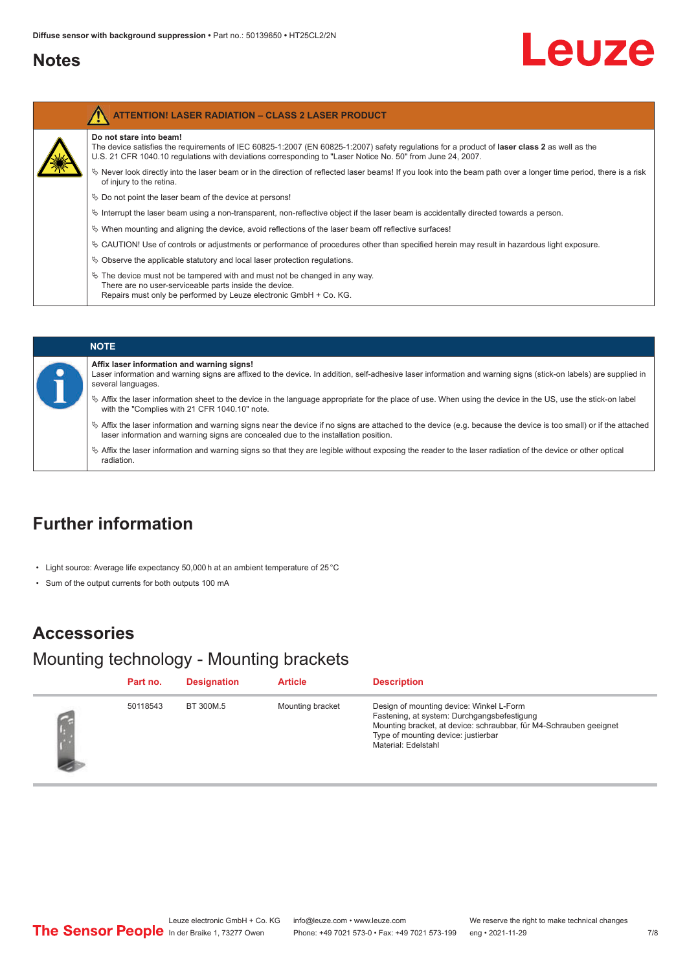### <span id="page-6-0"></span>**Notes**

# Leuze

| Do not stare into beam!<br>The device satisfies the requirements of IEC 60825-1:2007 (EN 60825-1:2007) safety regulations for a product of laser class 2 as well as the<br>U.S. 21 CFR 1040.10 regulations with deviations corresponding to "Laser Notice No. 50" from June 24, 2007. |
|---------------------------------------------------------------------------------------------------------------------------------------------------------------------------------------------------------------------------------------------------------------------------------------|
| Vertal once the period, there is a risk beam or in the direction of reflected laser beams! If you look into the beam path over a longer time period, there is a risk<br>of injury to the retina.                                                                                      |
| $\&$ Do not point the laser beam of the device at persons!                                                                                                                                                                                                                            |
| $\%$ Interrupt the laser beam using a non-transparent, non-reflective object if the laser beam is accidentally directed towards a person.                                                                                                                                             |
| $\%$ When mounting and aligning the device, avoid reflections of the laser beam off reflective surfaces!                                                                                                                                                                              |
| $\&$ CAUTION! Use of controls or adjustments or performance of procedures other than specified herein may result in hazardous light exposure.                                                                                                                                         |
| $\%$ Observe the applicable statutory and local laser protection regulations.                                                                                                                                                                                                         |
| $\%$ The device must not be tampered with and must not be changed in any way.<br>There are no user-serviceable parts inside the device.<br>Repairs must only be performed by Leuze electronic GmbH + Co. KG.                                                                          |

| <b>NOTE</b>                                                                                                                                                                                                                                                         |
|---------------------------------------------------------------------------------------------------------------------------------------------------------------------------------------------------------------------------------------------------------------------|
| Affix laser information and warning signs!<br>Laser information and warning signs are affixed to the device. In addition, self-adhesive laser information and warning signs (stick-on labels) are supplied in<br>several languages.                                 |
| ↓ Affix the laser information sheet to the device in the language appropriate for the place of use. When using the device in the US, use the stick-on label<br>with the "Complies with 21 CFR 1040.10" note.                                                        |
| $\frac{1}{2}$ Affix the laser information and warning signs near the device if no signs are attached to the device (e.g. because the device is too small) or if the attached<br>laser information and warning signs are concealed due to the installation position. |
| $\%$ Affix the laser information and warning signs so that they are legible without exposing the reader to the laser radiation of the device or other optical<br>radiation.                                                                                         |

## **Further information**

- Light source: Average life expectancy 50,000 h at an ambient temperature of 25 °C
- Sum of the output currents for both outputs 100 mA

### **Accessories**

## Mounting technology - Mounting brackets

| Part no. | <b>Designation</b> | <b>Article</b>   | <b>Description</b>                                                                                                                                                                                                          |
|----------|--------------------|------------------|-----------------------------------------------------------------------------------------------------------------------------------------------------------------------------------------------------------------------------|
| 50118543 | BT 300M.5          | Mounting bracket | Design of mounting device: Winkel L-Form<br>Fastening, at system: Durchgangsbefestigung<br>Mounting bracket, at device: schraubbar, für M4-Schrauben geeignet<br>Type of mounting device: justierbar<br>Material: Edelstahl |